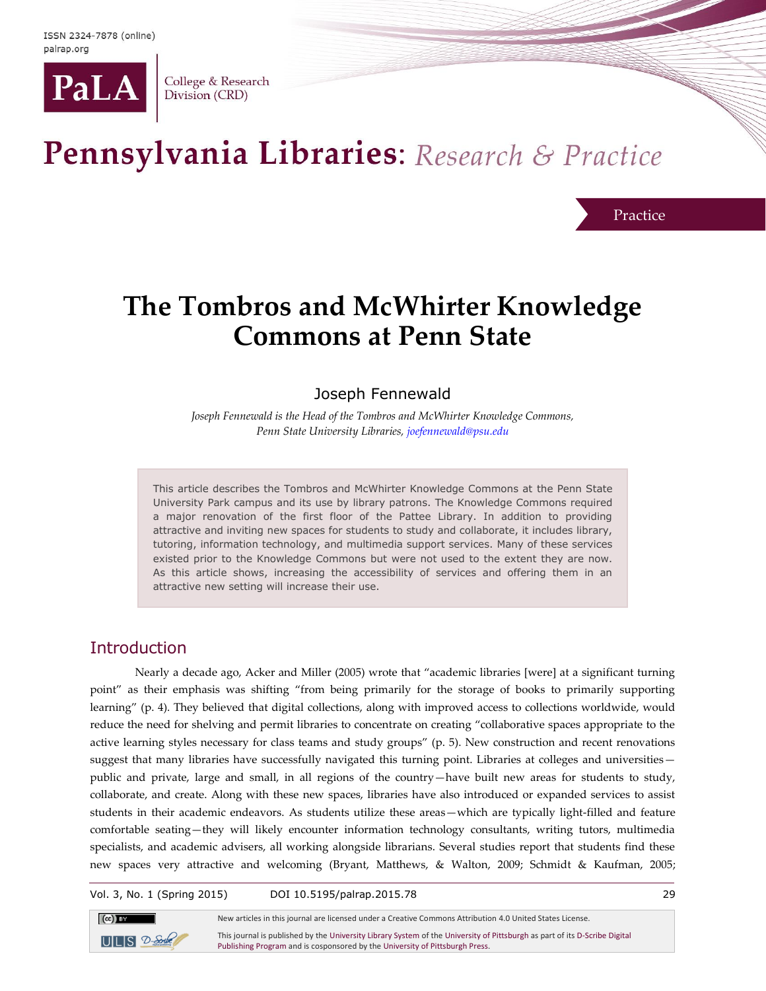

College & Research Division (CRD)

# Pennsylvania Libraries: Research & Practice

Practice

## **The Tombros and McWhirter Knowledge Commons at Penn State**

## Joseph Fennewald

*Joseph Fennewald is the Head of the Tombros and McWhirter Knowledge Commons, Penn State University Libraries[, joefennewald@psu.edu](mailto:joefennewald@psu.edu)*

This article describes the Tombros and McWhirter Knowledge Commons at the Penn State University Park campus and its use by library patrons. The Knowledge Commons required a major renovation of the first floor of the Pattee Library. In addition to providing attractive and inviting new spaces for students to study and collaborate, it includes library, tutoring, information technology, and multimedia support services. Many of these services existed prior to the Knowledge Commons but were not used to the extent they are now. As this article shows, increasing the accessibility of services and offering them in an attractive new setting will increase their use.

## **Introduction**

Nearly a decade ago, Acker and Miller (2005) wrote that "academic libraries [were] at a significant turning point" as their emphasis was shifting "from being primarily for the storage of books to primarily supporting learning" (p. 4). They believed that digital collections, along with improved access to collections worldwide, would reduce the need for shelving and permit libraries to concentrate on creating "collaborative spaces appropriate to the active learning styles necessary for class teams and study groups" (p. 5). New construction and recent renovations suggest that many libraries have successfully navigated this turning point. Libraries at colleges and universities public and private, large and small, in all regions of the country—have built new areas for students to study, collaborate, and create. Along with these new spaces, libraries have also introduced or expanded services to assist students in their academic endeavors. As students utilize these areas—which are typically light-filled and feature comfortable seating—they will likely encounter information technology consultants, writing tutors, multimedia specialists, and academic advisers, all working alongside librarians. Several studies report that students find these new spaces very attractive and welcoming (Bryant, Matthews, & Walton, 2009; Schmidt & Kaufman, 2005;

Vol. 3, No. 1 (Spring 2015) DOI 10.5195/palrap.2015.78 29



New articles in this journal are licensed under a Creative Commons Attribution 4.0 United States License. This journal is published by th[e University Library System](http://www.library.pitt.edu/) of th[e University of Pittsburgh](http://www.pitt.edu/) as part of it[s D-Scribe Digital](http://www.library.pitt.edu/d-scribe-digital-collections)  [Publishing Program](http://www.library.pitt.edu/d-scribe-digital-collections) and is cosponsored by th[e University of Pittsburgh Press.](http://upress.pitt.edu/)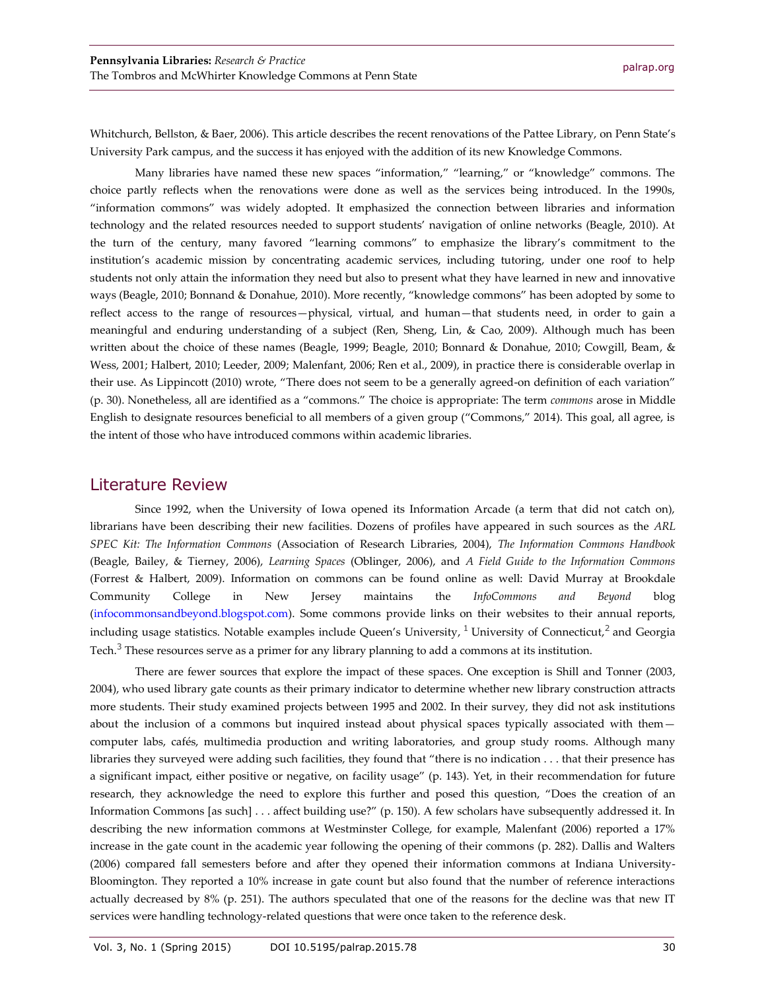Whitchurch, Bellston, & Baer, 2006). This article describes the recent renovations of the Pattee Library, on Penn State's University Park campus, and the success it has enjoyed with the addition of its new Knowledge Commons.

Many libraries have named these new spaces "information," "learning," or "knowledge" commons. The choice partly reflects when the renovations were done as well as the services being introduced. In the 1990s, "information commons" was widely adopted. It emphasized the connection between libraries and information technology and the related resources needed to support students' navigation of online networks (Beagle, 2010). At the turn of the century, many favored "learning commons" to emphasize the library's commitment to the institution's academic mission by concentrating academic services, including tutoring, under one roof to help students not only attain the information they need but also to present what they have learned in new and innovative ways (Beagle, 2010; Bonnand & Donahue, 2010). More recently, "knowledge commons" has been adopted by some to reflect access to the range of resources—physical, virtual, and human—that students need, in order to gain a meaningful and enduring understanding of a subject (Ren, Sheng, Lin, & Cao, 2009). Although much has been written about the choice of these names (Beagle, 1999; Beagle, 2010; Bonnard & Donahue, 2010; Cowgill, Beam, & Wess, 2001; Halbert, 2010; Leeder, 2009; Malenfant, 2006; Ren et al., 2009), in practice there is considerable overlap in their use. As Lippincott (2010) wrote, "There does not seem to be a generally agreed-on definition of each variation" (p. 30). Nonetheless, all are identified as a "commons." The choice is appropriate: The term *commons* arose in Middle English to designate resources beneficial to all members of a given group ("Commons," 2014). This goal, all agree, is the intent of those who have introduced commons within academic libraries.

#### Literature Review

Since 1992, when the University of Iowa opened its Information Arcade (a term that did not catch on), librarians have been describing their new facilities. Dozens of profiles have appeared in such sources as the *ARL SPEC Kit: The Information Commons* (Association of Research Libraries, 2004), *The Information Commons Handbook* (Beagle, Bailey, & Tierney, 2006), *Learning Spaces* (Oblinger, 2006), and *A Field Guide to the Information Commons* (Forrest & Halbert, 2009). Information on commons can be found online as well: David Murray at Brookdale Community College in New Jersey maintains the *InfoCommons and Beyond* blog [\(infocommonsandbeyond.blogspot.com\)](http://infocommonsandbeyond.blogspot.com/). Some commons provide links on their websites to their annual reports, including usage statistics. Notable examples include Queen's University, <sup>1</sup> University of Connecticut,<sup>2</sup> and Georgia Tech.<sup>3</sup> These resources serve as a primer for any library planning to add a commons at its institution.

There are fewer sources that explore the impact of these spaces. One exception is Shill and Tonner (2003, 2004), who used library gate counts as their primary indicator to determine whether new library construction attracts more students. Their study examined projects between 1995 and 2002. In their survey, they did not ask institutions about the inclusion of a commons but inquired instead about physical spaces typically associated with them computer labs, cafés, multimedia production and writing laboratories, and group study rooms. Although many libraries they surveyed were adding such facilities, they found that "there is no indication . . . that their presence has a significant impact, either positive or negative, on facility usage" (p. 143). Yet, in their recommendation for future research, they acknowledge the need to explore this further and posed this question, "Does the creation of an Information Commons [as such] . . . affect building use?" (p. 150). A few scholars have subsequently addressed it. In describing the new information commons at Westminster College, for example, Malenfant (2006) reported a 17% increase in the gate count in the academic year following the opening of their commons (p. 282). Dallis and Walters (2006) compared fall semesters before and after they opened their information commons at Indiana University-Bloomington. They reported a 10% increase in gate count but also found that the number of reference interactions actually decreased by 8% (p. 251). The authors speculated that one of the reasons for the decline was that new IT services were handling technology-related questions that were once taken to the reference desk.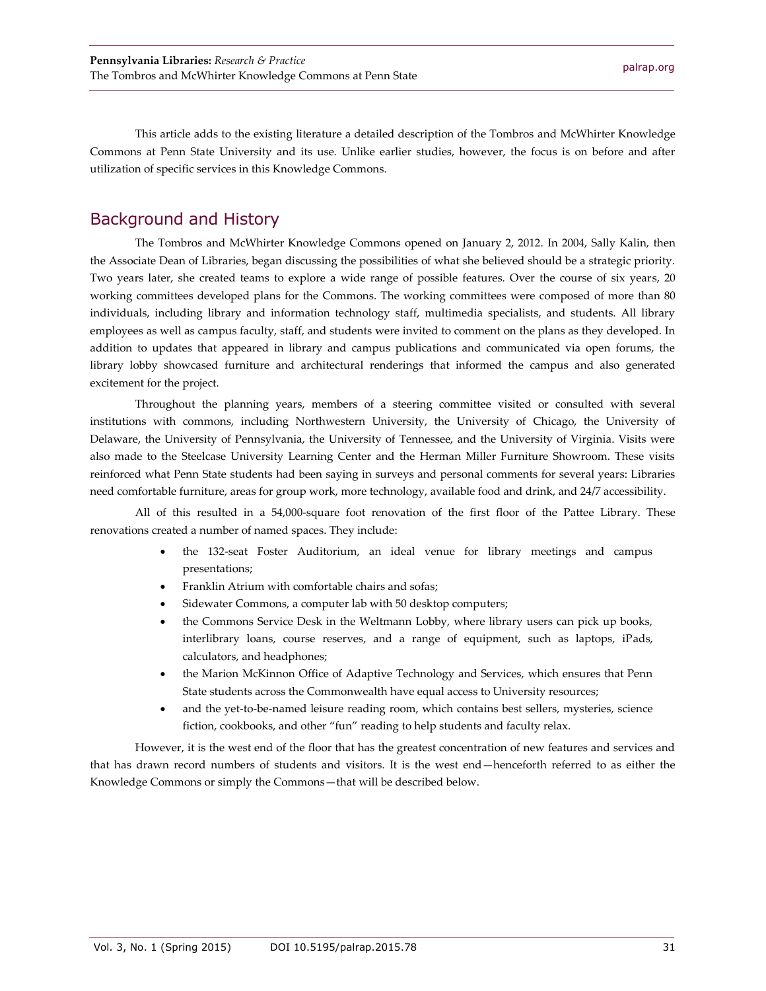This article adds to the existing literature a detailed description of the Tombros and McWhirter Knowledge Commons at Penn State University and its use. Unlike earlier studies, however, the focus is on before and after utilization of specific services in this Knowledge Commons.

## Background and History

The Tombros and McWhirter Knowledge Commons opened on January 2, 2012. In 2004, Sally Kalin, then the Associate Dean of Libraries, began discussing the possibilities of what she believed should be a strategic priority. Two years later, she created teams to explore a wide range of possible features. Over the course of six years, 20 working committees developed plans for the Commons. The working committees were composed of more than 80 individuals, including library and information technology staff, multimedia specialists, and students. All library employees as well as campus faculty, staff, and students were invited to comment on the plans as they developed. In addition to updates that appeared in library and campus publications and communicated via open forums, the library lobby showcased furniture and architectural renderings that informed the campus and also generated excitement for the project.

Throughout the planning years, members of a steering committee visited or consulted with several institutions with commons, including Northwestern University, the University of Chicago, the University of Delaware, the University of Pennsylvania, the University of Tennessee, and the University of Virginia. Visits were also made to the Steelcase University Learning Center and the Herman Miller Furniture Showroom. These visits reinforced what Penn State students had been saying in surveys and personal comments for several years: Libraries need comfortable furniture, areas for group work, more technology, available food and drink, and 24/7 accessibility.

All of this resulted in a 54,000-square foot renovation of the first floor of the Pattee Library. These renovations created a number of named spaces. They include:

- the 132-seat Foster Auditorium, an ideal venue for library meetings and campus presentations;
- Franklin Atrium with comfortable chairs and sofas;
- Sidewater Commons, a computer lab with 50 desktop computers;
- the Commons Service Desk in the Weltmann Lobby, where library users can pick up books, interlibrary loans, course reserves, and a range of equipment, such as laptops, iPads, calculators, and headphones;
- the Marion McKinnon Office of Adaptive Technology and Services, which ensures that Penn State students across the Commonwealth have equal access to University resources;
- and the yet-to-be-named leisure reading room, which contains best sellers, mysteries, science fiction, cookbooks, and other "fun" reading to help students and faculty relax.

However, it is the west end of the floor that has the greatest concentration of new features and services and that has drawn record numbers of students and visitors. It is the west end—henceforth referred to as either the Knowledge Commons or simply the Commons—that will be described below.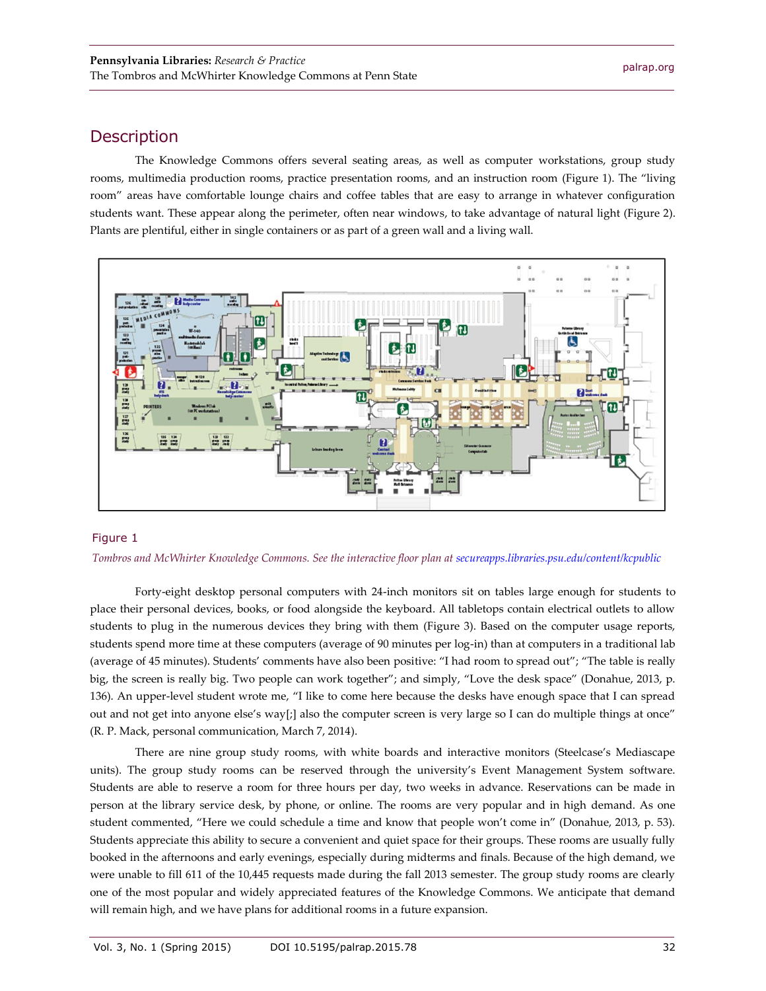### **Description**

The Knowledge Commons offers several seating areas, as well as computer workstations, group study rooms, multimedia production rooms, practice presentation rooms, and an instruction room (Figure 1). The "living room" areas have comfortable lounge chairs and coffee tables that are easy to arrange in whatever configuration students want. These appear along the perimeter, often near windows, to take advantage of natural light (Figure 2). Plants are plentiful, either in single containers or as part of a green wall and a living wall.



#### Figure 1

#### *Tombros and McWhirter Knowledge Commons. See the interactive floor plan a[t secureapps.libraries.psu.edu/content/kcpublic](http://secureapps.libraries.psu.edu/content/kcpublic)*

Forty-eight desktop personal computers with 24-inch monitors sit on tables large enough for students to place their personal devices, books, or food alongside the keyboard. All tabletops contain electrical outlets to allow students to plug in the numerous devices they bring with them (Figure 3). Based on the computer usage reports, students spend more time at these computers (average of 90 minutes per log-in) than at computers in a traditional lab (average of 45 minutes). Students' comments have also been positive: "I had room to spread out"; "The table is really big, the screen is really big. Two people can work together"; and simply, "Love the desk space" (Donahue, 2013, p. 136). An upper-level student wrote me, "I like to come here because the desks have enough space that I can spread out and not get into anyone else's way[;] also the computer screen is very large so I can do multiple things at once" (R. P. Mack, personal communication, March 7, 2014).

There are nine group study rooms, with white boards and interactive monitors (Steelcase's Mediascape units). The group study rooms can be reserved through the university's Event Management System software. Students are able to reserve a room for three hours per day, two weeks in advance. Reservations can be made in person at the library service desk, by phone, or online. The rooms are very popular and in high demand. As one student commented, "Here we could schedule a time and know that people won't come in" (Donahue, 2013, p. 53). Students appreciate this ability to secure a convenient and quiet space for their groups. These rooms are usually fully booked in the afternoons and early evenings, especially during midterms and finals. Because of the high demand, we were unable to fill 611 of the 10,445 requests made during the fall 2013 semester. The group study rooms are clearly one of the most popular and widely appreciated features of the Knowledge Commons. We anticipate that demand will remain high, and we have plans for additional rooms in a future expansion.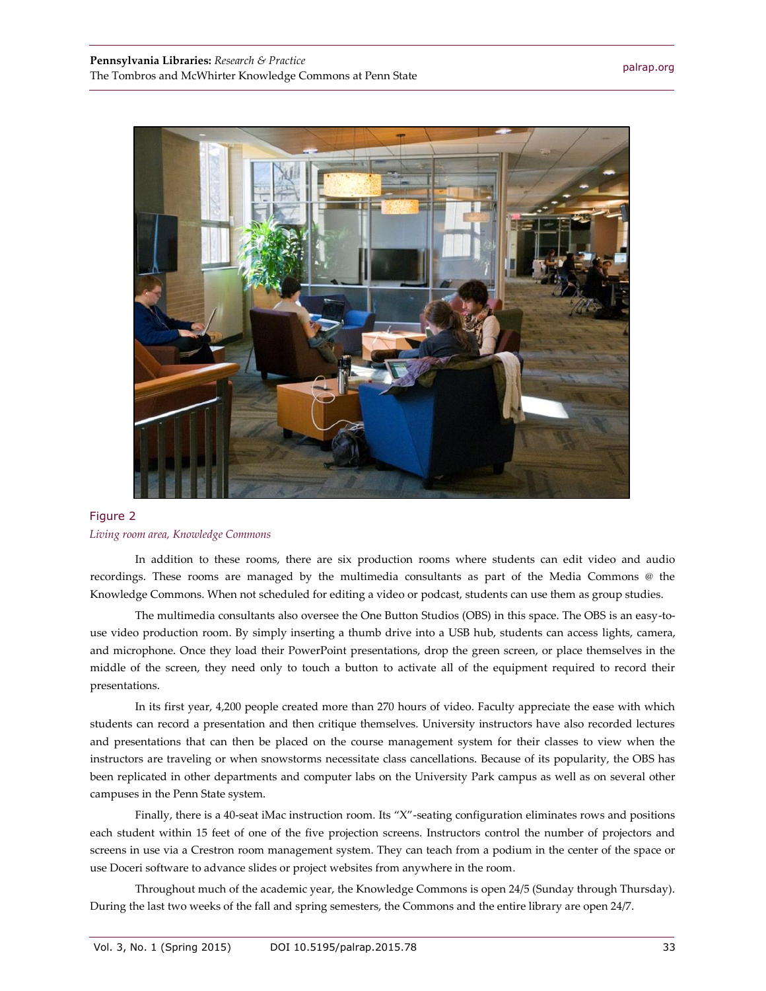

#### Figure 2 *Living room area, Knowledge Commons*

In addition to these rooms, there are six production rooms where students can edit video and audio recordings. These rooms are managed by the multimedia consultants as part of the Media Commons @ the Knowledge Commons. When not scheduled for editing a video or podcast, students can use them as group studies.

The multimedia consultants also oversee the One Button Studios (OBS) in this space. The OBS is an easy-touse video production room. By simply inserting a thumb drive into a USB hub, students can access lights, camera, and microphone. Once they load their PowerPoint presentations, drop the green screen, or place themselves in the middle of the screen, they need only to touch a button to activate all of the equipment required to record their presentations.

In its first year, 4,200 people created more than 270 hours of video. Faculty appreciate the ease with which students can record a presentation and then critique themselves. University instructors have also recorded lectures and presentations that can then be placed on the course management system for their classes to view when the instructors are traveling or when snowstorms necessitate class cancellations. Because of its popularity, the OBS has been replicated in other departments and computer labs on the University Park campus as well as on several other campuses in the Penn State system.

Finally, there is a 40-seat iMac instruction room. Its "X"-seating configuration eliminates rows and positions each student within 15 feet of one of the five projection screens. Instructors control the number of projectors and screens in use via a Crestron room management system. They can teach from a podium in the center of the space or use Doceri software to advance slides or project websites from anywhere in the room.

Throughout much of the academic year, the Knowledge Commons is open 24/5 (Sunday through Thursday). During the last two weeks of the fall and spring semesters, the Commons and the entire library are open 24/7.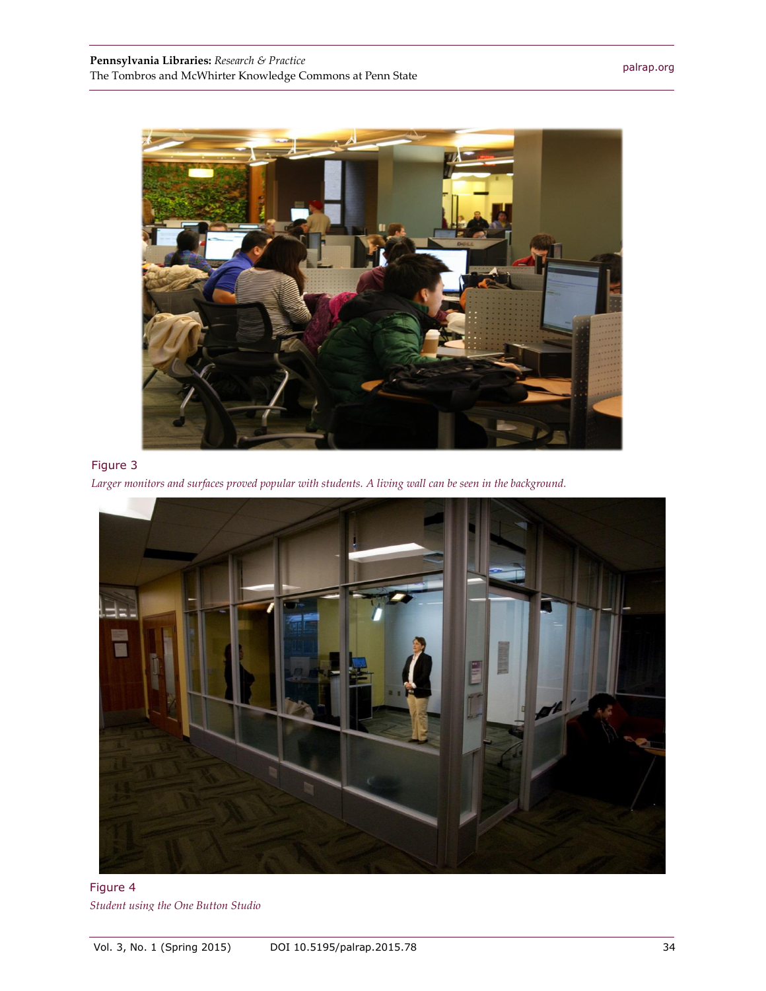

### Figure 3





Figure 4 *Student using the One Button Studio*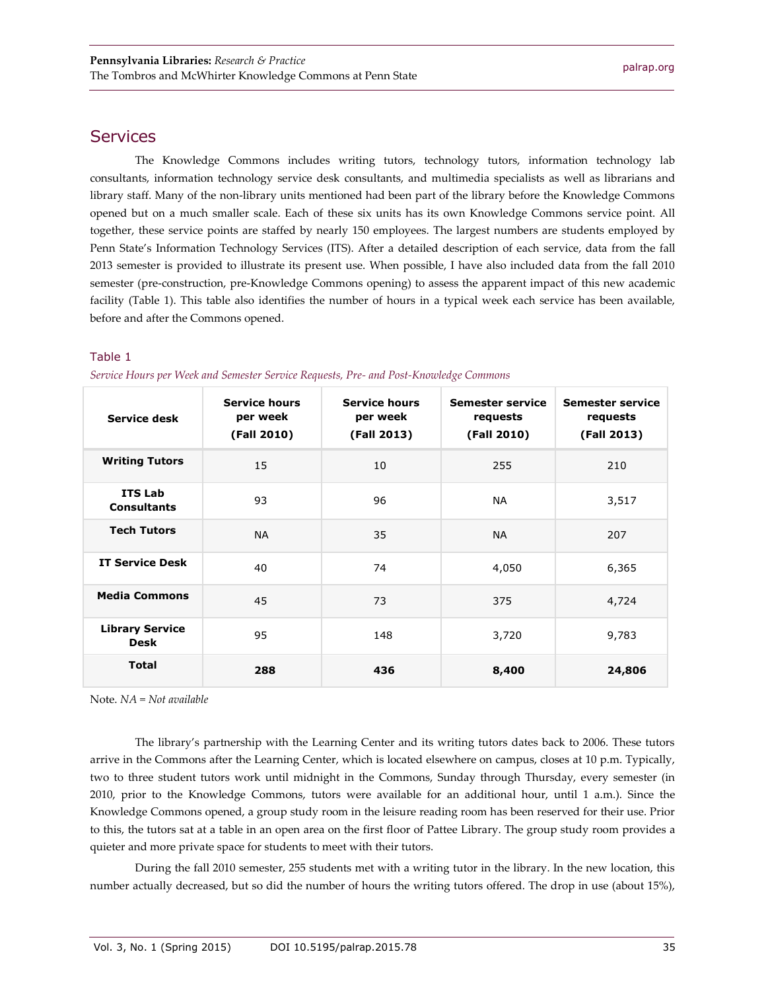#### **Services**

The Knowledge Commons includes writing tutors, technology tutors, information technology lab consultants, information technology service desk consultants, and multimedia specialists as well as librarians and library staff. Many of the non-library units mentioned had been part of the library before the Knowledge Commons opened but on a much smaller scale. Each of these six units has its own Knowledge Commons service point. All together, these service points are staffed by nearly 150 employees. The largest numbers are students employed by Penn State's Information Technology Services (ITS). After a detailed description of each service, data from the fall 2013 semester is provided to illustrate its present use. When possible, I have also included data from the fall 2010 semester (pre-construction, pre-Knowledge Commons opening) to assess the apparent impact of this new academic facility (Table 1). This table also identifies the number of hours in a typical week each service has been available, before and after the Commons opened.

#### Table 1

| Service desk                          | <b>Service hours</b><br>per week<br>(Fall 2010) | <b>Service hours</b><br>per week<br>(Fall 2013) | <b>Semester service</b><br>requests<br>(Fall 2010) | <b>Semester service</b><br>requests<br>(Fall 2013) |
|---------------------------------------|-------------------------------------------------|-------------------------------------------------|----------------------------------------------------|----------------------------------------------------|
| <b>Writing Tutors</b>                 | 15                                              | 10                                              | 255                                                | 210                                                |
| <b>ITS Lab</b><br><b>Consultants</b>  | 93                                              | 96                                              | <b>NA</b>                                          | 3,517                                              |
| <b>Tech Tutors</b>                    | <b>NA</b>                                       | 35                                              | <b>NA</b>                                          | 207                                                |
| <b>IT Service Desk</b>                | 40                                              | 74                                              | 4,050                                              | 6,365                                              |
| <b>Media Commons</b>                  | 45                                              | 73                                              | 375                                                | 4,724                                              |
| <b>Library Service</b><br><b>Desk</b> | 95                                              | 148                                             | 3,720                                              | 9,783                                              |
| <b>Total</b>                          | 288                                             | 436                                             | 8,400                                              | 24,806                                             |

*Service Hours per Week and Semester Service Requests, Pre- and Post-Knowledge Commons*

Note. *NA = Not available*

The library's partnership with the Learning Center and its writing tutors dates back to 2006. These tutors arrive in the Commons after the Learning Center, which is located elsewhere on campus, closes at 10 p.m. Typically, two to three student tutors work until midnight in the Commons, Sunday through Thursday, every semester (in 2010, prior to the Knowledge Commons, tutors were available for an additional hour, until 1 a.m.). Since the Knowledge Commons opened, a group study room in the leisure reading room has been reserved for their use. Prior to this, the tutors sat at a table in an open area on the first floor of Pattee Library. The group study room provides a quieter and more private space for students to meet with their tutors.

During the fall 2010 semester, 255 students met with a writing tutor in the library. In the new location, this number actually decreased, but so did the number of hours the writing tutors offered. The drop in use (about 15%),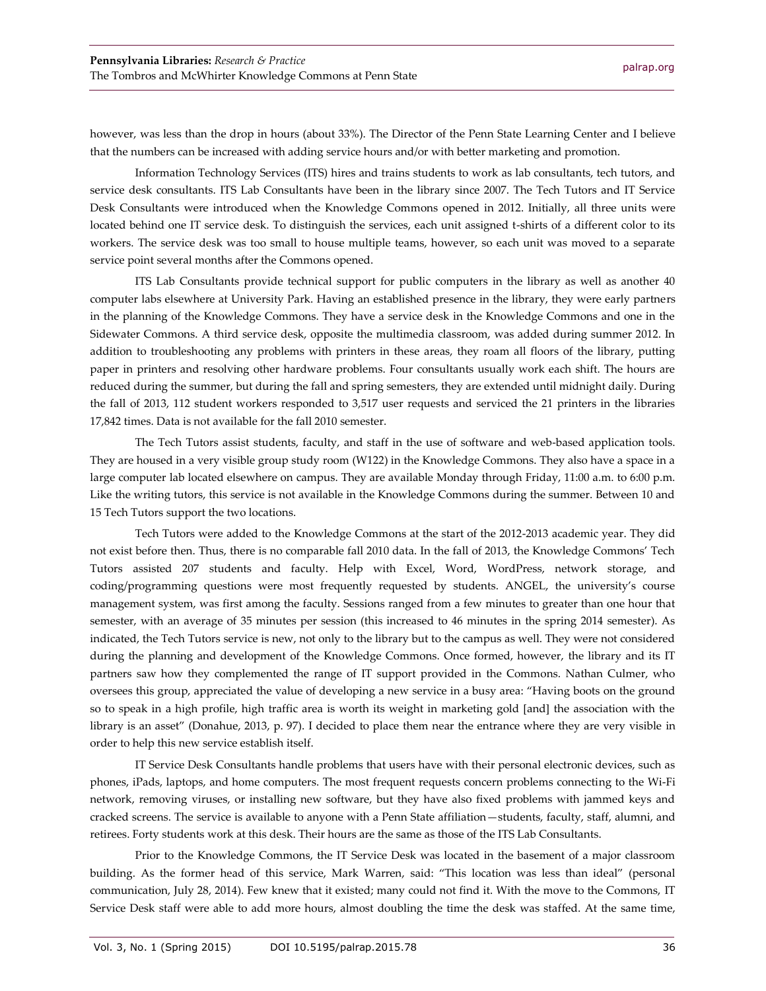however, was less than the drop in hours (about 33%). The Director of the Penn State Learning Center and I believe that the numbers can be increased with adding service hours and/or with better marketing and promotion.

Information Technology Services (ITS) hires and trains students to work as lab consultants, tech tutors, and service desk consultants. ITS Lab Consultants have been in the library since 2007. The Tech Tutors and IT Service Desk Consultants were introduced when the Knowledge Commons opened in 2012. Initially, all three units were located behind one IT service desk. To distinguish the services, each unit assigned t-shirts of a different color to its workers. The service desk was too small to house multiple teams, however, so each unit was moved to a separate service point several months after the Commons opened.

ITS Lab Consultants provide technical support for public computers in the library as well as another 40 computer labs elsewhere at University Park. Having an established presence in the library, they were early partners in the planning of the Knowledge Commons. They have a service desk in the Knowledge Commons and one in the Sidewater Commons. A third service desk, opposite the multimedia classroom, was added during summer 2012. In addition to troubleshooting any problems with printers in these areas, they roam all floors of the library, putting paper in printers and resolving other hardware problems. Four consultants usually work each shift. The hours are reduced during the summer, but during the fall and spring semesters, they are extended until midnight daily. During the fall of 2013, 112 student workers responded to 3,517 user requests and serviced the 21 printers in the libraries 17,842 times. Data is not available for the fall 2010 semester.

The Tech Tutors assist students, faculty, and staff in the use of software and web-based application tools. They are housed in a very visible group study room (W122) in the Knowledge Commons. They also have a space in a large computer lab located elsewhere on campus. They are available Monday through Friday, 11:00 a.m. to 6:00 p.m. Like the writing tutors, this service is not available in the Knowledge Commons during the summer. Between 10 and 15 Tech Tutors support the two locations.

Tech Tutors were added to the Knowledge Commons at the start of the 2012-2013 academic year. They did not exist before then. Thus, there is no comparable fall 2010 data. In the fall of 2013, the Knowledge Commons' Tech Tutors assisted 207 students and faculty. Help with Excel, Word, WordPress, network storage, and coding/programming questions were most frequently requested by students. ANGEL, the university's course management system, was first among the faculty. Sessions ranged from a few minutes to greater than one hour that semester, with an average of 35 minutes per session (this increased to 46 minutes in the spring 2014 semester). As indicated, the Tech Tutors service is new, not only to the library but to the campus as well. They were not considered during the planning and development of the Knowledge Commons. Once formed, however, the library and its IT partners saw how they complemented the range of IT support provided in the Commons. Nathan Culmer, who oversees this group, appreciated the value of developing a new service in a busy area: "Having boots on the ground so to speak in a high profile, high traffic area is worth its weight in marketing gold [and] the association with the library is an asset" (Donahue, 2013, p. 97). I decided to place them near the entrance where they are very visible in order to help this new service establish itself.

IT Service Desk Consultants handle problems that users have with their personal electronic devices, such as phones, iPads, laptops, and home computers. The most frequent requests concern problems connecting to the Wi-Fi network, removing viruses, or installing new software, but they have also fixed problems with jammed keys and cracked screens. The service is available to anyone with a Penn State affiliation—students, faculty, staff, alumni, and retirees. Forty students work at this desk. Their hours are the same as those of the ITS Lab Consultants.

Prior to the Knowledge Commons, the IT Service Desk was located in the basement of a major classroom building. As the former head of this service, Mark Warren, said: "This location was less than ideal" (personal communication, July 28, 2014). Few knew that it existed; many could not find it. With the move to the Commons, IT Service Desk staff were able to add more hours, almost doubling the time the desk was staffed. At the same time,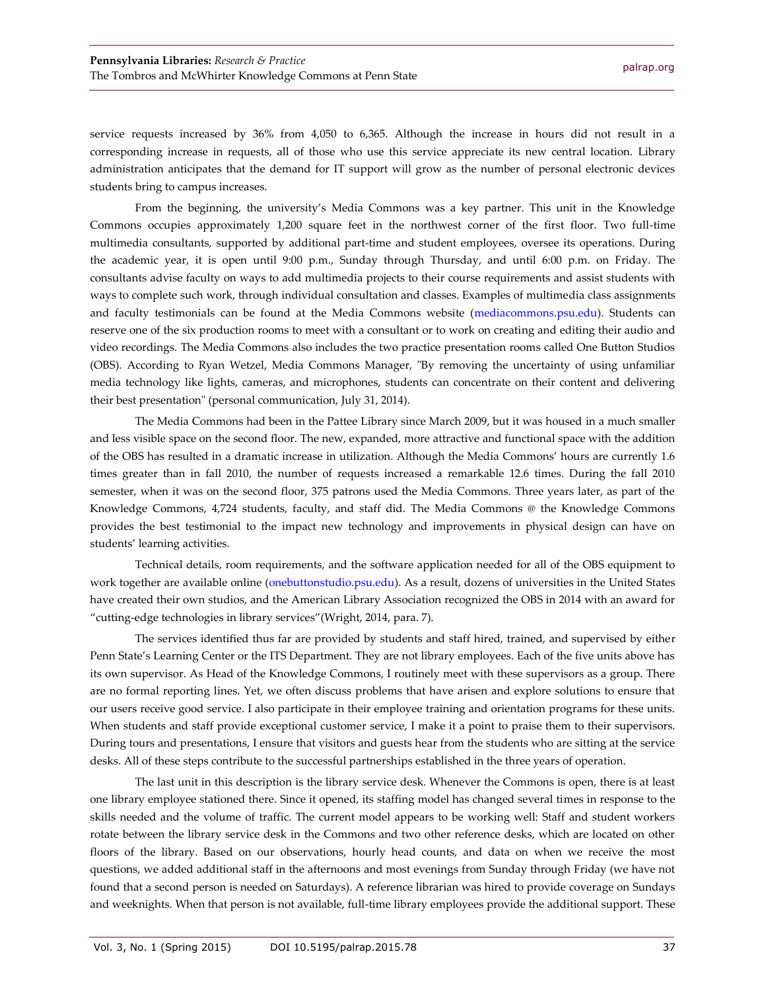service requests increased by 36% from 4,050 to 6,365. Although the increase in hours did not result in a corresponding increase in requests, all of those who use this service appreciate its new central location. Library administration anticipates that the demand for IT support will grow as the number of personal electronic devices students bring to campus increases.

From the beginning, the university's Media Commons was a key partner. This unit in the Knowledge Commons occupies approximately 1,200 square feet in the northwest corner of the first floor. Two full-time multimedia consultants, supported by additional part-time and student employees, oversee its operations. During the academic year, it is open until 9:00 p.m., Sunday through Thursday, and until 6:00 p.m. on Friday. The consultants advise faculty on ways to add multimedia projects to their course requirements and assist students with ways to complete such work, through individual consultation and classes. Examples of multimedia class assignments and faculty testimonials can be found at the Media Commons website [\(mediacommons.psu.edu\)](http://mediacommons.psu.edu/). Students can reserve one of the six production rooms to meet with a consultant or to work on creating and editing their audio and video recordings. The Media Commons also includes the two practice presentation rooms called One Button Studios (OBS). According to Ryan Wetzel, Media Commons Manager, "By removing the uncertainty of using unfamiliar media technology like lights, cameras, and microphones, students can concentrate on their content and delivering their best presentation" (personal communication, July 31, 2014).

The Media Commons had been in the Pattee Library since March 2009, but it was housed in a much smaller and less visible space on the second floor. The new, expanded, more attractive and functional space with the addition of the OBS has resulted in a dramatic increase in utilization. Although the Media Commons' hours are currently 1.6 times greater than in fall 2010, the number of requests increased a remarkable 12.6 times. During the fall 2010 semester, when it was on the second floor, 375 patrons used the Media Commons. Three years later, as part of the Knowledge Commons, 4,724 students, faculty, and staff did. The Media Commons @ the Knowledge Commons provides the best testimonial to the impact new technology and improvements in physical design can have on students' learning activities.

Technical details, room requirements, and the software application needed for all of the OBS equipment to work together are available online [\(onebuttonstudio.psu.edu\)](http://onebuttonstudio.psu.edu/). As a result, dozens of universities in the United States have created their own studios, and the American Library Association recognized the OBS in 2014 with an award for "cutting-edge technologies in library services"(Wright, 2014, para. 7).

The services identified thus far are provided by students and staff hired, trained, and supervised by either Penn State's Learning Center or the ITS Department. They are not library employees. Each of the five units above has its own supervisor. As Head of the Knowledge Commons, I routinely meet with these supervisors as a group. There are no formal reporting lines. Yet, we often discuss problems that have arisen and explore solutions to ensure that our users receive good service. I also participate in their employee training and orientation programs for these units. When students and staff provide exceptional customer service, I make it a point to praise them to their supervisors. During tours and presentations, I ensure that visitors and guests hear from the students who are sitting at the service desks. All of these steps contribute to the successful partnerships established in the three years of operation.

The last unit in this description is the library service desk. Whenever the Commons is open, there is at least one library employee stationed there. Since it opened, its staffing model has changed several times in response to the skills needed and the volume of traffic. The current model appears to be working well: Staff and student workers rotate between the library service desk in the Commons and two other reference desks, which are located on other floors of the library. Based on our observations, hourly head counts, and data on when we receive the most questions, we added additional staff in the afternoons and most evenings from Sunday through Friday (we have not found that a second person is needed on Saturdays). A reference librarian was hired to provide coverage on Sundays and weeknights. When that person is not available, full-time library employees provide the additional support. These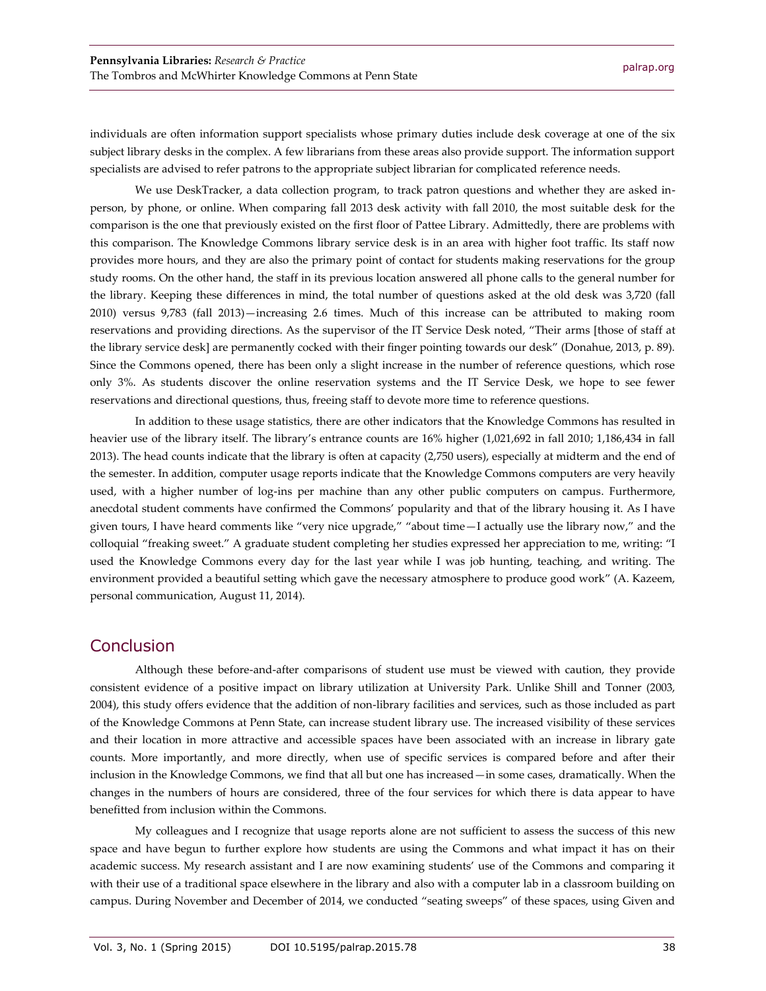individuals are often information support specialists whose primary duties include desk coverage at one of the six subject library desks in the complex. A few librarians from these areas also provide support. The information support specialists are advised to refer patrons to the appropriate subject librarian for complicated reference needs.

We use DeskTracker, a data collection program, to track patron questions and whether they are asked inperson, by phone, or online. When comparing fall 2013 desk activity with fall 2010, the most suitable desk for the comparison is the one that previously existed on the first floor of Pattee Library. Admittedly, there are problems with this comparison. The Knowledge Commons library service desk is in an area with higher foot traffic. Its staff now provides more hours, and they are also the primary point of contact for students making reservations for the group study rooms. On the other hand, the staff in its previous location answered all phone calls to the general number for the library. Keeping these differences in mind, the total number of questions asked at the old desk was 3,720 (fall 2010) versus 9,783 (fall 2013)—increasing 2.6 times. Much of this increase can be attributed to making room reservations and providing directions. As the supervisor of the IT Service Desk noted, "Their arms [those of staff at the library service desk] are permanently cocked with their finger pointing towards our desk" (Donahue, 2013, p. 89). Since the Commons opened, there has been only a slight increase in the number of reference questions, which rose only 3%. As students discover the online reservation systems and the IT Service Desk, we hope to see fewer reservations and directional questions, thus, freeing staff to devote more time to reference questions.

In addition to these usage statistics, there are other indicators that the Knowledge Commons has resulted in heavier use of the library itself. The library's entrance counts are 16% higher (1,021,692 in fall 2010; 1,186,434 in fall 2013). The head counts indicate that the library is often at capacity (2,750 users), especially at midterm and the end of the semester. In addition, computer usage reports indicate that the Knowledge Commons computers are very heavily used, with a higher number of log-ins per machine than any other public computers on campus. Furthermore, anecdotal student comments have confirmed the Commons' popularity and that of the library housing it. As I have given tours, I have heard comments like "very nice upgrade," "about time—I actually use the library now," and the colloquial "freaking sweet." A graduate student completing her studies expressed her appreciation to me, writing: "I used the Knowledge Commons every day for the last year while I was job hunting, teaching, and writing. The environment provided a beautiful setting which gave the necessary atmosphere to produce good work" (A. Kazeem, personal communication, August 11, 2014).

#### **Conclusion**

Although these before-and-after comparisons of student use must be viewed with caution, they provide consistent evidence of a positive impact on library utilization at University Park. Unlike Shill and Tonner (2003, 2004), this study offers evidence that the addition of non-library facilities and services, such as those included as part of the Knowledge Commons at Penn State, can increase student library use. The increased visibility of these services and their location in more attractive and accessible spaces have been associated with an increase in library gate counts. More importantly, and more directly, when use of specific services is compared before and after their inclusion in the Knowledge Commons, we find that all but one has increased—in some cases, dramatically. When the changes in the numbers of hours are considered, three of the four services for which there is data appear to have benefitted from inclusion within the Commons.

My colleagues and I recognize that usage reports alone are not sufficient to assess the success of this new space and have begun to further explore how students are using the Commons and what impact it has on their academic success. My research assistant and I are now examining students' use of the Commons and comparing it with their use of a traditional space elsewhere in the library and also with a computer lab in a classroom building on campus. During November and December of 2014, we conducted "seating sweeps" of these spaces, using Given and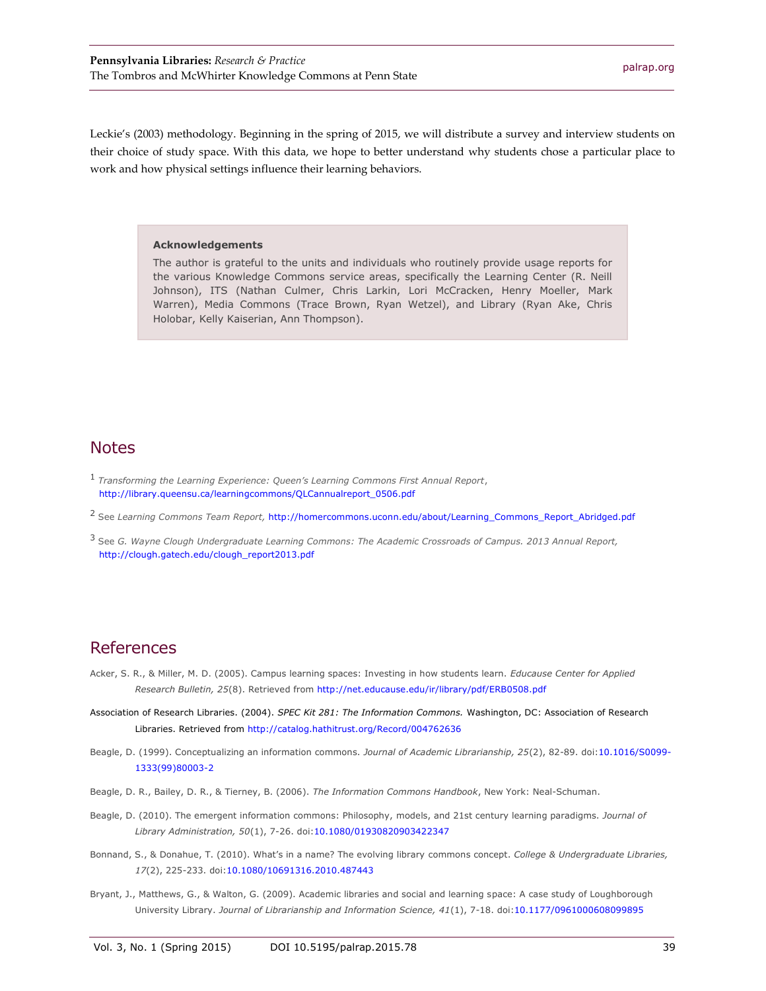Leckie's (2003) methodology. Beginning in the spring of 2015, we will distribute a survey and interview students on their choice of study space. With this data, we hope to better understand why students chose a particular place to work and how physical settings influence their learning behaviors.

#### **Acknowledgements**

The author is grateful to the units and individuals who routinely provide usage reports for the various Knowledge Commons service areas, specifically the Learning Center (R. Neill Johnson), ITS (Nathan Culmer, Chris Larkin, Lori McCracken, Henry Moeller, Mark Warren), Media Commons (Trace Brown, Ryan Wetzel), and Library (Ryan Ake, Chris Holobar, Kelly Kaiserian, Ann Thompson).

#### **Notes**

- 1 *Transforming the Learning Experience: Queen's Learning Commons First Annual Report*, [http://library.queensu.ca/learningcommons/QLCannualreport\\_0506.pdf](http://library.queensu.ca/learningcommons/QLCannualreport_0506.pdf)
- <sup>2</sup> See *Learning Commons Team Report,* [http://homercommons.uconn.edu/about/Learning\\_Commons\\_Report\\_Abridged.pdf](http://homercommons.uconn.edu/about/Learning_Commons_Report_Abridged.pdf)
- <sup>3</sup> See *G. Wayne Clough Undergraduate Learning Commons: The Academic Crossroads of Campus. 2013 Annual Report,* [http://clough.gatech.edu/clough\\_report2013.pdf](http://clough.gatech.edu/clough_report2013.pdf)

#### References

- Acker, S. R., & Miller, M. D. (2005). Campus learning spaces: Investing in how students learn. *Educause Center for Applied Research Bulletin, 25*(8). Retrieved fro[m http://net.educause.edu/ir/library/pdf/ERB0508.pdf](http://net.educause.edu/ir/library/pdf/ERB0508.pdf)
- Association of Research Libraries. (2004). *SPEC Kit 281: The Information Commons.* Washington, DC: Association of Research Libraries. Retrieved from<http://catalog.hathitrust.org/Record/004762636>
- Beagle, D. (1999). Conceptualizing an information commons. *Journal of Academic Librarianship, 25*(2), 82-89. doi[:10.1016/S0099-](http://dx.doi.org/10.1016/S0099-1333(99)80003-2) [1333\(99\)80003-2](http://dx.doi.org/10.1016/S0099-1333(99)80003-2)
- Beagle, D. R., Bailey, D. R., & Tierney, B. (2006). *The Information Commons Handbook*, New York: Neal-Schuman.
- Beagle, D. (2010). The emergent information commons: Philosophy, models, and 21st century learning paradigms. *Journal of Library Administration, 50*(1), 7-26. doi[:10.1080/01930820903422347](http://dx.doi.org/10.1080/01930820903422347)
- Bonnand, S., & Donahue, T. (2010). What's in a name? The evolving library commons concept. *College & Undergraduate Libraries, 17*(2), 225-233. doi[:10.1080/10691316.2010.487443](http://dx.doi.org/10.1080/10691316.2010.487443)
- Bryant, J., Matthews, G., & Walton, G. (2009). Academic libraries and social and learning space: A case study of Loughborough University Library. *Journal of Librarianship and Information Science, 41*(1), 7-18. doi[:10.1177/0961000608099895](http://dx.doi.org/10.1177/0961000608099895)